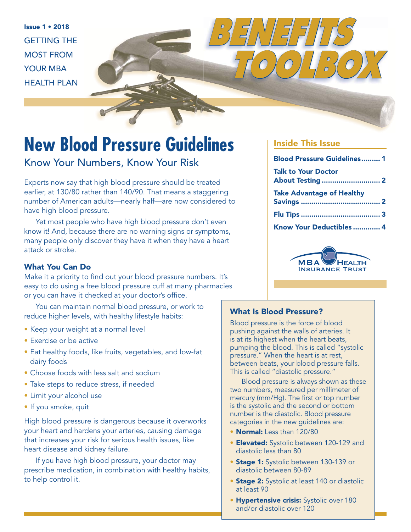Issue 1 • 2018 GETTING THE MOST FROM YOUR MBA HEALTH PLAN



### Know Your Numbers, Know Your Risk

Experts now say that high blood pressure should be treated earlier, at 130/80 rather than 140/90. That means a staggering number of American adults—nearly half—are now considered to have high blood pressure.

Yet most people who have high blood pressure don't even know it! And, because there are no warning signs or symptoms, many people only discover they have it when they have a heart attack or stroke.

### What You Can Do

Make it a priority to find out your blood pressure numbers. It's easy to do using a free blood pressure cuff at many pharmacies or you can have it checked at your doctor's office.

You can maintain normal blood pressure, or work to reduce higher levels, with healthy lifestyle habits:

- Keep your weight at a normal level
- Exercise or be active
- Eat healthy foods, like fruits, vegetables, and low-fat dairy foods
- Choose foods with less salt and sodium
- Take steps to reduce stress, if needed
- Limit your alcohol use
- If you smoke, quit

High blood pressure is dangerous because it overworks your heart and hardens your arteries, causing damage that increases your risk for serious health issues, like heart disease and kidney failure.

If you have high blood pressure, your doctor may prescribe medication, in combination with healthy habits, to help control it.

### Inside This Issue

*BENEFITS* 

 *TOOLBOX*

| <b>Blood Pressure Guidelines 1</b>                    |  |
|-------------------------------------------------------|--|
| <b>Talk to Your Doctor</b><br><b>About Testing  2</b> |  |
| <b>Take Advantage of Healthy</b>                      |  |
|                                                       |  |
| Know Your Deductibles  4                              |  |



#### What Is Blood Pressure?

Blood pressure is the force of blood pushing against the walls of arteries. It is at its highest when the heart beats, pumping the blood. This is called "systolic pressure." When the heart is at rest, between beats, your blood pressure falls. This is called "diastolic pressure."

Blood pressure is always shown as these two numbers, measured per millimeter of mercury (mm/Hg). The first or top number is the systolic and the second or bottom number is the diastolic. Blood pressure categories in the new guidelines are:

- Normal: Less than 120/80
- **Elevated:** Systolic between 120-129 and diastolic less than 80
- Stage 1: Systolic between 130-139 or diastolic between 80-89
- Stage 2: Systolic at least 140 or diastolic at least 90
- **Hypertensive crisis:** Systolic over 180 and/or diastolic over 120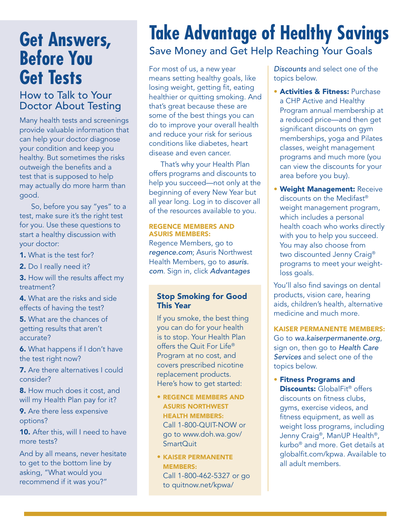## **Get Answers, Before You Get Tests**

### How to Talk to Your Doctor About Testing

Many health tests and screenings provide valuable information that can help your doctor diagnose your condition and keep you healthy. But sometimes the risks outweigh the benefits and a test that is supposed to help may actually do more harm than good.

So, before you say "yes" to a test, make sure it's the right test for you. Use these questions to start a healthy discussion with your doctor:

1. What is the test for?

2. Do I really need it?

**3.** How will the results affect my treatment?

4. What are the risks and side effects of having the test?

5. What are the chances of getting results that aren't accurate?

6. What happens if I don't have the test right now?

7. Are there alternatives I could consider?

8. How much does it cost, and will my Health Plan pay for it?

9. Are there less expensive options?

10. After this, will I need to have more tests?

And by all means, never hesitate to get to the bottom line by asking, "What would you recommend if it was you?"

# **Take Advantage of Healthy Savings**

## Save Money and Get Help Reaching Your Goals

For most of us, a new year means setting healthy goals, like losing weight, getting fit, eating healthier or quitting smoking. And that's great because these are some of the best things you can do to improve your overall health and reduce your risk for serious conditions like diabetes, heart disease and even cancer.

That's why your Health Plan offers programs and discounts to help you succeed—not only at the beginning of every New Year but all year long. Log in to discover all of the resources available to you.

#### REGENCE MEMBERS AND ASURIS MEMBERS:

Regence Members, go to regence.com; Asuris Northwest Health Members, go to asuris. com. Sign in, click Advantages

### Stop Smoking for Good This Year

If you smoke, the best thing you can do for your health is to stop. Your Health Plan offers the Quit For Life® Program at no cost, and covers prescribed nicotine replacement products. Here's how to get started:

- REGENCE MEMBERS AND ASURIS NORTHWEST HEALTH MEMBERS: Call 1-800-QUIT-NOW or go to www.doh.wa.gov/ SmartQuit
- KAISER PERMANENTE MEMBERS: Call 1-800-462-5327 or go to quitnow.net/kpwa/

Discounts and select one of the topics below.

- **Activities & Fitness: Purchase** a CHP Active and Healthy Program annual membership at a reduced price—and then get significant discounts on gym memberships, yoga and Pilates classes, weight management programs and much more (you can view the discounts for your area before you buy).
- Weight Management: Receive discounts on the Medifast® weight management program, which includes a personal health coach who works directly with you to help you succeed. You may also choose from two discounted Jenny Craig® programs to meet your weightloss goals.

You'll also find savings on dental products, vision care, hearing aids, children's health, alternative medicine and much more.

KAISER PERMANENTE MEMBERS: Go to wa.kaiserpermanente.org, sign on, then go to Health Care Services and select one of the topics below.

• Fitness Programs and Discounts: GlobalFit<sup>®</sup> offers discounts on fitness clubs, gyms, exercise videos, and fitness equipment, as well as weight loss programs, including Jenny Craig®, ManUP Health®, kurbo® and more. Get details at globalfit.com/kpwa. Available to all adult members.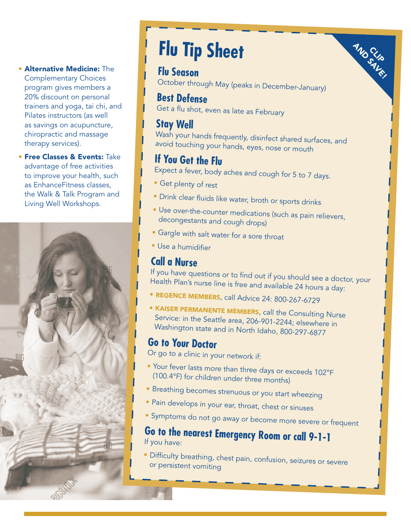- Alternative Medicine: The Complementary Choices program gives members a 20% discount on personal trainers and yoga, tai chi, and Pilates instructors (as well as savings on acupuncture, chiropractic and massage therapy services).
- **Free Classes & Events: Take** advantage of free activities to improve your health, such as EnhanceFitness classes, the Walk & Talk Program and Living Well Workshops.



# **Flu Tip Sheet**

### **Flu Season**

October through May (peaks in December-January)

**AND SLIP**<br>SAVE!

### **Best Defense**

Get a flu shot, even as late as February

### **Stay Well**

Wash your hands frequently, disinfect shared surfaces, and avoid touching your hands, eyes, nose or mouth

## **If You Get the Flu**

Expect a fever, body aches and cough for 5 to 7 days.

- Get plenty of rest
- Drink clear fluids like water, broth or sports drinks
- Use over-the-counter medications (such as pain relievers, decongestants and cough drops)
- Gargle with salt water for a sore throat
- Use a humidifier

## **Call a Nurse**

If you have questions or to find out if you should see a doctor, your Health Plan's nurse line is free and available 24 hours a day:

- REGENCE MEMBERS, call Advice 24: 800-267-6729
- KAISER PERMANENTE MEMBERS, call the Consulting Nurse Service: in the Seattle area, 206-901-2244; elsewhere in Washington state and in North Idaho, 800-297-6877

### **Go to Your Doctor**

Or go to a clinic in your network if:

- Your fever lasts more than three days or exceeds 102°F (100.4°F) for children under three months)
- Breathing becomes strenuous or you start wheezing
- Pain develops in your ear, throat, chest or sinuses
- Symptoms do not go away or become more severe or frequent

### **Go to the nearest Emergency Room or call 9-1-1**  If you have:

• Difficulty breathing, chest pain, confusion, seizures or severe or persistent vomiting